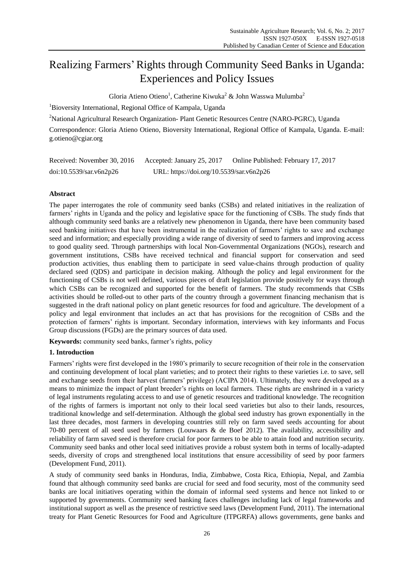# Realizing Farmers' Rights through Community Seed Banks in Uganda: Experiences and Policy Issues

Gloria Atieno Otieno<sup>1</sup>, Catherine Kiwuka<sup>2</sup> & John Wasswa Mulumba<sup>2</sup>

<sup>1</sup>Bioversity International, Regional Office of Kampala, Uganda

<sup>2</sup>National Agricultural Research Organization- Plant Genetic Resources Centre (NARO-PGRC), Uganda

Correspondence: Gloria Atieno Otieno, Bioversity International, Regional Office of Kampala, Uganda. E-mail: g.otieno@cgiar.org

| Received: November 30, 2016 | Accepted: January 25, 2017               | Online Published: February 17, 2017 |
|-----------------------------|------------------------------------------|-------------------------------------|
| doi:10.5539/sar.v6n2p26     | URL: https://doi.org/10.5539/sar.v6n2p26 |                                     |

# **Abstract**

The paper interrogates the role of community seed banks (CSBs) and related initiatives in the realization of farmers" rights in Uganda and the policy and legislative space for the functioning of CSBs. The study finds that although community seed banks are a relatively new phenomenon in Uganda, there have been community based seed banking initiatives that have been instrumental in the realization of farmers" rights to save and exchange seed and information; and especially providing a wide range of diversity of seed to farmers and improving access to good quality seed. Through partnerships with local Non-Governmental Organizations (NGOs), research and government institutions, CSBs have received technical and financial support for conservation and seed production activities, thus enabling them to participate in seed value-chains through production of quality declared seed (QDS) and participate in decision making. Although the policy and legal environment for the functioning of CSBs is not well defined, various pieces of draft legislation provide positively for ways through which CSBs can be recognized and supported for the benefit of farmers. The study recommends that CSBs activities should be rolled-out to other parts of the country through a government financing mechanism that is suggested in the draft national policy on plant genetic resources for food and agriculture. The development of a policy and legal environment that includes an act that has provisions for the recognition of CSBs and the protection of farmers" rights is important. Secondary information, interviews with key informants and Focus Group discussions (FGDs) are the primary sources of data used.

**Keywords:** community seed banks, farmer's rights, policy

## **1. Introduction**

Farmers' rights were first developed in the 1980's primarily to secure recognition of their role in the conservation and continuing development of local plant varieties; and to protect their rights to these varieties i.e. to save, sell and exchange seeds from their harvest (farmers" privilege) (ACIPA 2014). Ultimately, they were developed as a means to minimize the impact of plant breeder"s rights on local farmers. These rights are enshrined in a variety of legal instruments regulating access to and use of genetic resources and traditional knowledge. The recognition of the rights of farmers is important not only to their local seed varieties but also to their lands, resources, traditional knowledge and self-determination. Although the global seed industry has grown exponentially in the last three decades, most farmers in developing countries still rely on farm saved seeds accounting for about 70-80 percent of all seed used by farmers (Louwaars & de Boef 2012). The availability, accessibility and reliability of farm saved seed is therefore crucial for poor farmers to be able to attain food and nutrition security. Community seed banks and other local seed initiatives provide a robust system both in terms of locally-adapted seeds, diversity of crops and strengthened local institutions that ensure accessibility of seed by poor farmers (Development Fund, 2011).

A study of community seed banks in Honduras, India, Zimbabwe, Costa Rica, Ethiopia, Nepal, and Zambia found that although community seed banks are crucial for seed and food security, most of the community seed banks are local initiatives operating within the domain of informal seed systems and hence not linked to or supported by governments. Community seed banking faces challenges including lack of legal frameworks and institutional support as well as the presence of restrictive seed laws (Development Fund, 2011). The international treaty for Plant Genetic Resources for Food and Agriculture (ITPGRFA) allows governments, gene banks and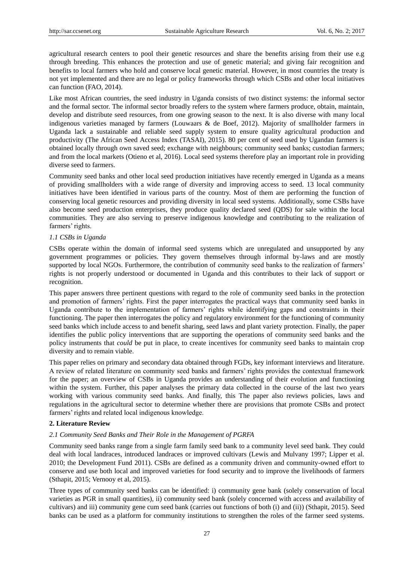agricultural research centers to pool their genetic resources and share the benefits arising from their use e.g through breeding. This enhances the protection and use of genetic material; and giving fair recognition and benefits to local farmers who hold and conserve local genetic material. However, in most countries the treaty is not yet implemented and there are no legal or policy frameworks through which CSBs and other local initiatives can function (FAO, 2014).

Like most African countries, the seed industry in Uganda consists of two distinct systems: the informal sector and the formal sector. The informal sector broadly refers to the system where farmers produce, obtain, maintain, develop and distribute seed resources, from one growing season to the next. It is also diverse with many local indigenous varieties managed by farmers (Louwaars & de Boef, 2012). Majority of smallholder farmers in Uganda lack a sustainable and reliable seed supply system to ensure quality agricultural production and productivity (The African Seed Access Index (TASAI), 2015). 80 per cent of seed used by Ugandan farmers is obtained locally through own saved seed; exchange with neighbours; community seed banks; custodian farmers; and from the local markets (Otieno et al, 2016). Local seed systems therefore play an important role in providing diverse seed to farmers.

Community seed banks and other local seed production initiatives have recently emerged in Uganda as a means of providing smallholders with a wide range of diversity and improving access to seed. 13 local community initiatives have been identified in various parts of the country. Most of them are performing the function of conserving local genetic resources and providing diversity in local seed systems. Additionally, some CSBs have also become seed production enterprises, they produce quality declared seed (QDS) for sale within the local communities. They are also serving to preserve indigenous knowledge and contributing to the realization of farmers' rights.

### *1.1 CSBs in Uganda*

CSBs operate within the domain of informal seed systems which are unregulated and unsupported by any government programmes or policies. They govern themselves through informal by-laws and are mostly supported by local NGOs. Furthermore, the contribution of community seed banks to the realization of farmers' rights is not properly understood or documented in Uganda and this contributes to their lack of support or recognition.

This paper answers three pertinent questions with regard to the role of community seed banks in the protection and promotion of farmers" rights. First the paper interrogates the practical ways that community seed banks in Uganda contribute to the implementation of farmers" rights while identifying gaps and constraints in their functioning. The paper then interrogates the policy and regulatory environment for the functioning of community seed banks which include access to and benefit sharing, seed laws and plant variety protection. Finally, the paper identifies the public policy interventions that are supporting the operations of community seed banks and the policy instruments that *could* be put in place, to create incentives for community seed banks to maintain crop diversity and to remain viable.

This paper relies on primary and secondary data obtained through FGDs, key informant interviews and literature. A review of related literature on community seed banks and farmers" rights provides the contextual framework for the paper; an overview of CSBs in Uganda provides an understanding of their evolution and functioning within the system. Further, this paper analyses the primary data collected in the course of the last two years working with various community seed banks. And finally, this The paper also reviews policies, laws and regulations in the agricultural sector to determine whether there are provisions that promote CSBs and protect farmers' rights and related local indigenous knowledge.

#### **2. Literature Review**

#### *2.1 Community Seed Banks and Their Role in the Management of PGRFA*

Community seed banks range from a single farm family seed bank to a community level seed bank. They could deal with local landraces, introduced landraces or improved cultivars (Lewis and Mulvany 1997; Lipper et al. 2010; the Development Fund 2011). CSBs are defined as a community driven and community-owned effort to conserve and use both local and improved varieties for food security and to improve the livelihoods of farmers (Sthapit, 2015; Vernooy et al, 2015).

Three types of community seed banks can be identified: i) community gene bank (solely conservation of local varieties as PGR in small quantities), ii) community seed bank (solely concerned with access and availability of cultivars) and iii) community gene cum seed bank (carries out functions of both (i) and (ii)) (Sthapit, 2015). Seed banks can be used as a platform for community institutions to strengthen the roles of the farmer seed systems.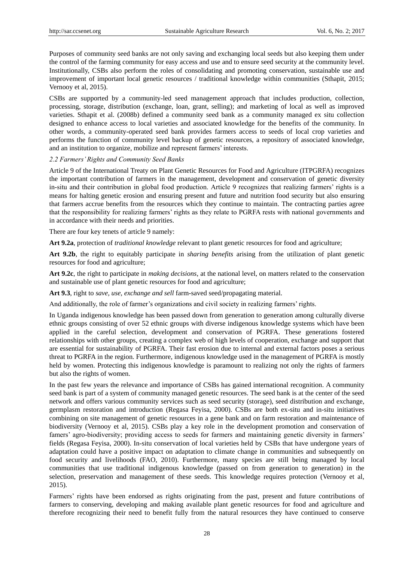Purposes of community seed banks are not only saving and exchanging local seeds but also keeping them under the control of the farming community for easy access and use and to ensure seed security at the community level. Institutionally, CSBs also perform the roles of consolidating and promoting conservation, sustainable use and improvement of important local genetic resources / traditional knowledge within communities (Sthapit, 2015; Vernooy et al, 2015).

CSBs are supported by a community-led seed management approach that includes production, collection, processing, storage, distribution (exchange, loan, grant, selling); and marketing of local as well as improved varieties. Sthapit et al. (2008b) defined a community seed bank as a community managed ex situ collection designed to enhance access to local varieties and associated knowledge for the benefits of the community. In other words, a community-operated seed bank provides farmers access to seeds of local crop varieties and performs the function of community level backup of genetic resources, a repository of associated knowledge, and an institution to organize, mobilize and represent farmers' interests.

#### *2.2 Farmers' Rights and Community Seed Banks*

Article 9 of the International Treaty on Plant Genetic Resources for Food and Agriculture (ITPGRFA) recognizes the important contribution of farmers in the management, development and conservation of genetic diversity in-situ and their contribution in global food production. Article 9 recognizes that realizing farmers" rights is a means for halting genetic erosion and ensuring present and future and nutrition food security but also ensuring that farmers accrue benefits from the resources which they continue to maintain. The contracting parties agree that the responsibility for realizing farmers" rights as they relate to PGRFA rests with national governments and in accordance with their needs and priorities.

There are four key tenets of article 9 namely:

**Art 9.2a**, protection of *traditional knowledge* relevant to plant genetic resources for food and agriculture;

**Art 9.2b**, the right to equitably participate in *sharing benefits* arising from the utilization of plant genetic resources for food and agriculture;

**Art 9.2c**, the right to participate in *making decisions*, at the national level, on matters related to the conservation and sustainable use of plant genetic resources for food and agriculture;

**Art 9.3**, right to *save, use, exchange and sell* farm-saved seed/propagating material.

And additionally, the role of farmer's organizations and civil society in realizing farmers' rights.

In Uganda indigenous knowledge has been passed down from generation to generation among culturally diverse ethnic groups consisting of over 52 ethnic groups with diverse indigenous knowledge systems which have been applied in the careful selection, development and conservation of PGRFA. These generations fostered relationships with other groups, creating a complex web of high levels of cooperation, exchange and support that are essential for sustainability of PGRFA. Their fast erosion due to internal and external factors poses a serious threat to PGRFA in the region. Furthermore, indigenous knowledge used in the management of PGRFA is mostly held by women. Protecting this indigenous knowledge is paramount to realizing not only the rights of farmers but also the rights of women.

In the past few years the relevance and importance of CSBs has gained international recognition. A community seed bank is part of a system of community managed genetic resources. The seed bank is at the center of the seed network and offers various community services such as seed security (storage), seed distribution and exchange, germplasm restoration and introduction (Regasa Feyisa, 2000). CSBs are both ex-situ and in-situ initiatives combining on site management of genetic resources in a gene bank and on farm restoration and maintenance of biodiversity (Vernooy et al, 2015). CSBs play a key role in the development promotion and conservation of famers' agro-biodiversity; providing access to seeds for farmers and maintaining genetic diversity in farmers' fields (Regasa Feyisa, 2000). In-situ conservation of local varieties held by CSBs that have undergone years of adaptation could have a positive impact on adaptation to climate change in communities and subsequently on food security and livelihoods (FAO, 2010). Furthermore, many species are still being managed by local communities that use traditional indigenous knowledge (passed on from generation to generation) in the selection, preservation and management of these seeds. This knowledge requires protection (Vernooy et al, 2015).

Farmers" rights have been endorsed as rights originating from the past, present and future contributions of farmers to conserving, developing and making available plant genetic resources for food and agriculture and therefore recognizing their need to benefit fully from the natural resources they have continued to conserve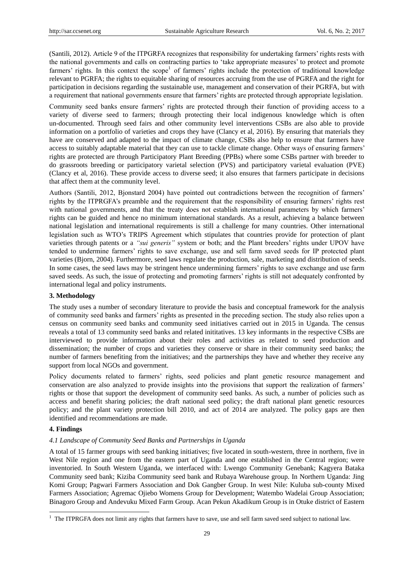(Santili, 2012). Article 9 of the ITPGRFA recognizes that responsibility for undertaking farmers" rights rests with the national governments and calls on contracting parties to "take appropriate measures" to protect and promote farmers' rights. In this context the scope<sup>1</sup> of farmers' rights include the protection of traditional knowledge relevant to PGRFA; the rights to equitable sharing of resources accruing from the use of PGRFA and the right for participation in decisions regarding the sustainable use, management and conservation of their PGRFA, but with a requirement that national governments ensure that farmers' rights are protected through appropriate legislation.

Community seed banks ensure farmers" rights are protected through their function of providing access to a variety of diverse seed to farmers; through protecting their local indigenous knowledge which is often un-documented. Through seed fairs and other community level interventions CSBs are also able to provide information on a portfolio of varieties and crops they have (Clancy et al, 2016). By ensuring that materials they have are conserved and adapted to the impact of climate change, CSBs also help to ensure that farmers have access to suitably adaptable material that they can use to tackle climate change. Other ways of ensuring farmers" rights are protected are through Participatory Plant Breeding (PPBs) where some CSBs partner with breeder to do grassroots breeding or participatory varietal selection (PVS) and participatory varietal evaluation (PVE) (Clancy et al, 2016). These provide access to diverse seed; it also ensures that farmers participate in decisions that affect them at the community level.

Authors (Santili, 2012, Bjonstard 2004) have pointed out contradictions between the recognition of farmers" rights by the ITPRGFA"s preamble and the requirement that the responsibility of ensuring farmers" rights rest with national governments, and that the treaty does not establish international parameters by which farmers' rights can be guided and hence no minimum international standards. As a result, achieving a balance between national legislation and international requirements is still a challenge for many countries. Other international legislation such as WTO's TRIPS Agreement which stipulates that countries provide for protection of plant varieties through patents or a *"sui generis"* system or both; and the Plant breeders' rights under UPOV have tended to undermine farmers" rights to save exchange, use and sell farm saved seeds for IP protected plant varieties (Bjorn, 2004). Furthermore, seed laws regulate the production, sale, marketing and distribution of seeds. In some cases, the seed laws may be stringent hence undermining farmers" rights to save exchange and use farm saved seeds. As such, the issue of protecting and promoting farmers' rights is still not adequately confronted by international legal and policy instruments.

## **3. Methodology**

The study uses a number of secondary literature to provide the basis and conceptual framework for the analysis of community seed banks and farmers" rights as presented in the preceding section. The study also relies upon a census on community seed banks and community seed initiatives carried out in 2015 in Uganda. The census reveals a total of 13 community seed banks and related inititatives. 13 key informants in the respective CSBs are interviewed to provide information about their roles and activities as related to seed production and dissemination; the number of crops and varieties they conserve or share in their community seed banks; the number of farmers benefiting from the initiatives; and the partnerships they have and whether they receive any support from local NGOs and government.

Policy documents related to farmers' rights, seed policies and plant genetic resource management and conservation are also analyzed to provide insights into the provisions that support the realization of farmers" rights or those that support the development of community seed banks. As such, a number of policies such as access and benefit sharing policies; the draft national seed policy; the draft national plant genetic resources policy; and the plant variety protection bill 2010, and act of 2014 are analyzed. The policy gaps are then identified and recommendations are made.

## **4. Findings**

<u>.</u>

## *4.1 Landscape of Community Seed Banks and Partnerships in Uganda*

A total of 15 farmer groups with seed banking initiatives; five located in south-western, three in northern, five in West Nile region and one from the eastern part of Uganda and one established in the Central region; were inventoried. In South Western Uganda, we interfaced with: Lwengo Community Genebank; Kagyera Bataka Community seed bank; Kiziba Community seed bank and Rubaya Warehouse group. In Northern Uganda: Jing Komi Group; Pagwari Farmers Association and Dok Gangber Group. In west Nile: Kuluba sub-county Mixed Farmers Association; Agremac Ojiebo Womens Group for Development; Watembo Wadelai Group Association; Binagoro Group and Andevuku Mixed Farm Group. Acan Pekun Akadikum Group is in Otuke district of Eastern

 $1$  The ITPRGFA does not limit any rights that farmers have to save, use and sell farm saved seed subject to national law.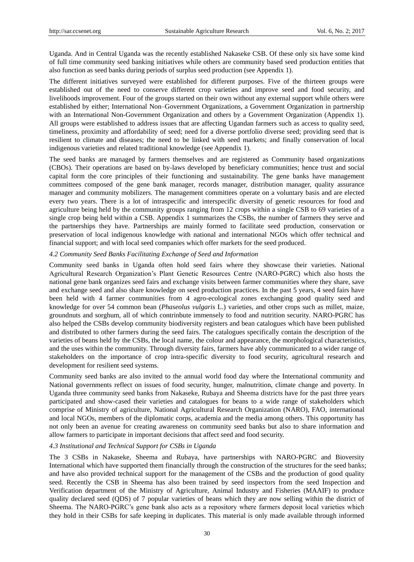Uganda. And in Central Uganda was the recently established Nakaseke CSB. Of these only six have some kind of full time community seed banking initiatives while others are community based seed production entities that also function as seed banks during periods of surplus seed production (see Appendix 1).

The different initiatives surveyed were established for different purposes. Five of the thirteen groups were established out of the need to conserve different crop varieties and improve seed and food security, and livelihoods improvement. Four of the groups started on their own without any external support while others were established by either; International Non–Government Organizations, a Government Organization in partnership with an International Non-Government Organization and others by a Government Organization (Appendix 1). All groups were established to address issues that are affecting Ugandan farmers such as access to quality seed, timeliness, proximity and affordability of seed; need for a diverse portfolio diverse seed; providing seed that is resilient to climate and diseases; the need to be linked with seed markets; and finally conservation of local indigenous varieties and related traditional knowledge (see Appendix 1).

The seed banks are managed by farmers themselves and are registered as Community based organizations (CBOs). Their operations are based on by-laws developed by beneficiary communities; hence trust and social capital form the core principles of their functioning and sustainability. The gene banks have management committees composed of the gene bank manager, records manager, distribution manager, quality assurance manager and community mobilizers. The management committees operate on a voluntary basis and are elected every two years. There is a lot of intraspecific and interspecific diversity of genetic resources for food and agriculture being held by the community groups ranging from 12 crops within a single CSB to 69 varieties of a single crop being held within a CSB. Appendix 1 summarizes the CSBs, the number of farmers they serve and the partnerships they have. Partnerships are mainly formed to facilitate seed production, conservation or preservation of local indigenous knowledge with national and international NGOs which offer technical and financial support; and with local seed companies which offer markets for the seed produced.

## *4.2 Community Seed Banks Facilitating Exchange of Seed and Information*

Community seed banks in Uganda often hold seed fairs where they showcase their varieties. National Agricultural Research Organization"s Plant Genetic Resources Centre (NARO-PGRC) which also hosts the national gene bank organizes seed fairs and exchange visits between farmer communities where they share, save and exchange seed and also share knowledge on seed production practices. In the past 5 years, 4 seed fairs have been held with 4 farmer communities from 4 agro-ecological zones exchanging good quality seed and knowledge for over 54 common bean (*Phaseolus vulgaris* L.) varieties, and other crops such as millet, maize, groundnuts and sorghum, all of which contrinbute immensely to food and nutrition security. NARO-PGRC has also helped the CSBs develop community biodiversity registers and bean catalogues which have been published and distributed to other farmers during the seed fairs. The catalogues specifically contain the description of the varieties of beans held by the CSBs, the local name, the colour and appearance, the morphological characteristics, and the uses within the community. Through diversity fairs, farmers have ably communicated to a wider range of stakeholders on the importance of crop intra-specific diversity to food security, agricultural research and development for resilient seed systems.

Community seed banks are also invited to the annual world food day where the International community and National governments reflect on issues of food security, hunger, malnutrition, climate change and poverty. In Uganda three community seed banks from Nakaseke, Rubaya and Sheema districts have for the past three years participated and show-cased their varieties and catalogues for beans to a wide range of stakeholders which comprise of Ministry of agriculture, National Agricultural Research Organization (NARO), FAO, international and local NGOs, members of the diplomatic corps, academia and the media among others. This opportunity has not only been an avenue for creating awareness on community seed banks but also to share information and allow farmers to participate in important decisions that affect seed and food security.

## *4.3 Institutional and Technical Support for CSBs in Uganda*

The 3 CSBs in Nakaseke, Sheema and Rubaya, have partnerships with NARO-PGRC and Bioversity International which have supported them financially through the construction of the structures for the seed banks; and have also provided technical support for the management of the CSBs and the production of good quality seed. Recently the CSB in Sheema has also been trained by seed inspectors from the seed Inspection and Verification department of the Ministry of Agriculture, Animal Industry and Fisheries (MAAIF) to produce quality declared seed (QDS) of 7 popular varieties of beans which they are now selling within the district of Sheema. The NARO-PGRC"s gene bank also acts as a repository where farmers deposit local varieties which they hold in their CSBs for safe keeping in duplicates. This material is only made available through informed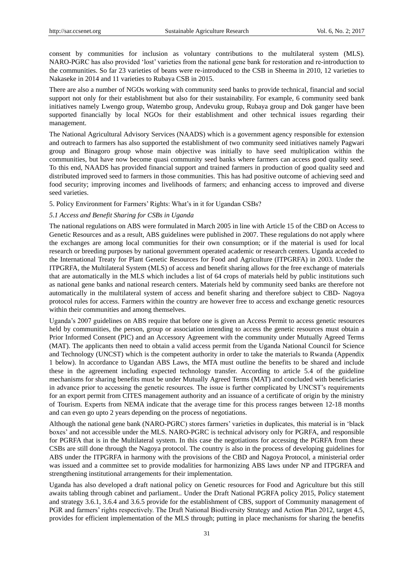consent by communities for inclusion as voluntary contributions to the multilateral system (MLS). NARO-PGRC has also provided "lost" varieties from the national gene bank for restoration and re-introduction to the communities. So far 23 varieties of beans were re-introduced to the CSB in Sheema in 2010, 12 varieties to Nakaseke in 2014 and 11 varieties to Rubaya CSB in 2015.

There are also a number of NGOs working with community seed banks to provide technical, financial and social support not only for their establishment but also for their sustainability. For example, 6 community seed bank initiatives namely Lwengo group, Watembo group, Andevuku group, Rubaya group and Dok ganger have been supported financially by local NGOs for their establishment and other technical issues regarding their management.

The National Agricultural Advisory Services (NAADS) which is a government agency responsible for extension and outreach to farmers has also supported the establishment of two community seed initiatives namely Pagwari group and Binagoro group whose main objective was initially to have seed multiplication within the communities, but have now become quasi community seed banks where farmers can access good quality seed. To this end, NAADS has provided financial support and trained farmers in production of good quality seed and distributed improved seed to farmers in those communities. This has had positive outcome of achieving seed and food security; improving incomes and livelihoods of farmers; and enhancing access to improved and diverse seed varieties.

5. Policy Environment for Farmers" Rights: What"s in it for Ugandan CSBs?

## *5.1 Access and Benefit Sharing for CSBs in Uganda*

The national regulations on ABS were formulated in March 2005 in line with Article 15 of the CBD on Access to Genetic Resources and as a result, ABS guidelines were published in 2007. These regulations do not apply where the exchanges are among local communities for their own consumption; or if the material is used for local research or breeding purposes by national government operated academic or research centers. Uganda acceded to the International Treaty for Plant Genetic Resources for Food and Agriculture (ITPGRFA) in 2003. Under the ITPGRFA, the Multilateral System (MLS) of access and benefit sharing allows for the free exchange of materials that are automatically in the MLS which includes a list of 64 crops of materials held by public institutions such as national gene banks and national research centers. Materials held by community seed banks are therefore not automatically in the multilateral system of access and benefit sharing and therefore subject to CBD- Nagoya protocol rules for access. Farmers within the country are however free to access and exchange genetic resources within their communities and among themselves.

Uganda"s 2007 guidelines on ABS require that before one is given an Access Permit to access genetic resources held by communities, the person, group or association intending to access the genetic resources must obtain a Prior Informed Consent (PIC) and an Accessory Agreement with the community under Mutually Agreed Terms (MAT). The applicants then need to obtain a valid access permit from the Uganda National Council for Science and Technology (UNCST) which is the competent authority in order to take the materials to Rwanda (Appendix 1 below). In accordance to Ugandan ABS Laws, the MTA must outline the benefits to be shared and include these in the agreement including expected technology transfer. According to article 5.4 of the guideline mechanisms for sharing benefits must be under Mutually Agreed Terms (MAT) and concluded with beneficiaries in advance prior to accessing the genetic resources. The issue is further complicated by UNCST"s requirements for an export permit from CITES management authority and an issuance of a certificate of origin by the ministry of Tourism. Experts from NEMA indicate that the average time for this process ranges between 12-18 months and can even go upto 2 years depending on the process of negotiations.

Although the national gene bank (NARO-PGRC) stores farmers" varieties in duplicates, this material is in "black boxes" and not accessible under the MLS. NARO-PGRC is technical advisory only for PGRFA, and responsible for PGRFA that is in the Multilateral system. In this case the negotiations for accessing the PGRFA from these CSBs are still done through the Nagoya protocol. The country is also in the process of developing guidelines for ABS under the ITPGRFA in harmony with the provisions of the CBD and Nagoya Protocol, a ministerial order was issued and a committee set to provide modalities for harmonizing ABS laws under NP and ITPGRFA and strengthening institutional arrangements for their implementation.

Uganda has also developed a draft national policy on Genetic resources for Food and Agriculture but this still awaits tabling through cabinet and parliament.. Under the Draft National PGRFA policy 2015, Policy statement and strategy 3.6.1, 3.6.4 and 3.6.5 provide for the establishment of CBS, support of Community management of PGR and farmers' rights respectively. The Draft National Biodiversity Strategy and Action Plan 2012, target 4.5, provides for efficient implementation of the MLS through; putting in place mechanisms for sharing the benefits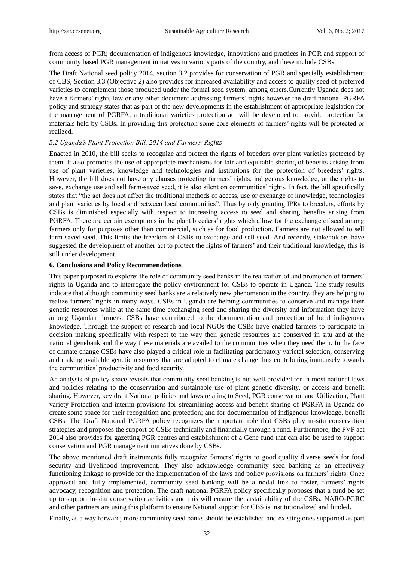from access of PGR; documentation of indigenous knowledge, innovations and practices in PGR and support of community based PGR management initiatives in various parts of the country, and these include CSBs.

The Draft National seed policy 2014, section 3.2 provides for conservation of PGR and specially establishment of CBS, Section 3.3 (Objective 2) also provides for increased availability and access to quality seed of preferred varieties to complement those produced under the formal seed system, among others.Currently Uganda does not have a farmers' rights law or any other document addressing farmers' rights however the draft national PGRFA policy and strategy states that as part of the new developments in the establishment of appropriate legislation for the management of PGRFA, a traditional varieties protection act will be developed to provide protection for materials held by CSBs. In providing this protection some core elements of farmers" rights will be protected or realized.

### *5.2 Uganda's Plant Protection Bill, 2014 and Farmers' Rights*

Enacted in 2010, the bill seeks to recognize and protect the rights of breeders over plant varieties protected by them. It also promotes the use of appropriate mechanisms for fair and equitable sharing of benefits arising from use of plant varieties, knowledge and technologies and institutions for the protection of breeders" rights. However, the bill does not have any clauses protecting farmers" rights, indigenous knowledge, or the rights to save, exchange use and sell farm-saved seed, it is also silent on communities' rights. In fact, the bill specifically states that "the act does not affect the traditional methods of access, use or exchange of knowledge, technologies and plant varieties by local and between local communities". Thus by only granting IPRs to breeders, efforts by CSBs is diminished especially with respect to increasing access to seed and sharing benefits arising from PGRFA. There are certain exemptions in the plant breeders' rights which allow for the exchange of seed among farmers only for purposes other than commercial, such as for food production. Farmers are not allowed to sell farm saved seed. This limits the freedom of CSBs to exchange and sell seed. And recently, stakeholders have suggested the development of another act to protect the rights of farmers' and their traditional knowledge, this is still under development.

#### **6. Conclusions and Policy Recommendations**

This paper purposed to explore: the role of community seed banks in the realization of and promotion of farmers" rights in Uganda and to interrogate the policy environment for CSBs to operate in Uganda. The study results indicate that although community seed banks are a relatively new phenomenon in the country, they are helping to realize farmers" rights in many ways. CSBs in Uganda are helping communities to conserve and manage their genetic resources while at the same time exchanging seed and sharing the diversity and information they have among Ugandan farmers. CSBs have contributed to the documentation and protection of local indigenous knowledge. Through the support of research and local NGOs the CSBs have enabled farmers to participate in decision making specifically with respect to the way their genetic resources are conserved in situ and at the national genebank and the way these materials are availed to the communities when they need them. In the face of climate change CSBs have also played a critical role in facilitating participatory varietal selection, conserving and making available genetic resources that are adapted to climate change thus contributing immensely towards the communities" productivity and food security.

An analysis of policy space reveals that community seed banking is not well provided for in most national laws and policies relating to the conservation and sustainable use of plant genetic diversity, or access and benefit sharing. However, key draft National policies and laws relating to Seed, PGR conservation and Utilization, Plant variety Protection and interim provisions for streamlining access and benefit sharing of PGRFA in Uganda do create some space for their recognition and protection; and for documentation of indigenous knowledge. benefit CSBs. The Draft National PGRFA policy recognizes the important role that CSBs play in-situ conservation strategies and proposes the support of CSBs technically and financially through a fund. Furthermore, the PVP act 2014 also provides for gazetting PGR centres and establishment of a Gene fund that can also be used to support conservation and PGR management initiatives done by CSBs.

The above mentioned draft instruments fully recognize farmers" rights to good quality diverse seeds for food security and livelihood improvement. They also acknowledge community seed banking as an effectively functioning linkage to provide for the implementation of the laws and policy provisions on farmers" rights. Once approved and fully implemented, community seed banking will be a nodal link to foster, farmers" rights advocacy, recognition and protection. The draft national PGRFA policy specifically proposes that a fund be set up to support in-situ conservation activities and this will ensure the sustainability of the CSBs. NARO-PGRC and other partners are using this platform to ensure National support for CBS is institutionalized and funded.

Finally, as a way forward; more community seed banks should be established and existing ones supported as part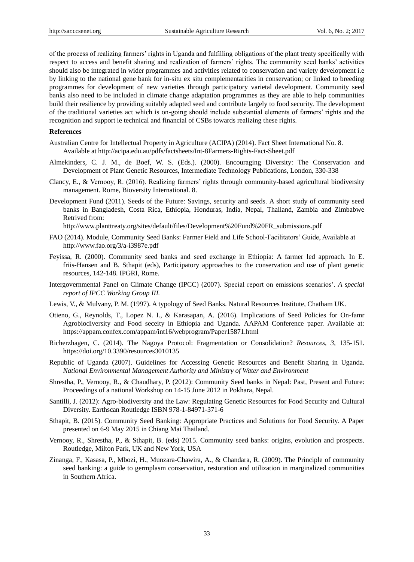of the process of realizing farmers" rights in Uganda and fulfilling obligations of the plant treaty specifically with respect to access and benefit sharing and realization of farmers" rights. The community seed banks" activities should also be integrated in wider programmes and activities related to conservation and variety development i.e by linking to the national gene bank for in-situ ex situ complementarities in conservation; or linked to breeding programmes for development of new varieties through participatory varietal development. Community seed banks also need to be included in climate change adaptation programmes as they are able to help communities build their resilience by providing suitably adapted seed and contribute largely to food security. The development of the traditional varieties act which is on-going should include substantial elements of farmers" rights and the recognition and support ie technical and financial of CSBs towards realizing these rights.

### **References**

- Australian Centre for Intellectual Property in Agriculture (ACIPA) (2014). Fact Sheet International No. 8. Available at http://acipa.edu.au/pdfs/factsheets/Int-8Farmers-Rights-Fact-Sheet.pdf
- Almekinders, C. J. M., de Boef, W. S. (Eds.). (2000). Encouraging Diversity: The Conservation and Development of Plant Genetic Resources, Intermediate Technology Publications, London, 330-338
- Clancy, E., & Vernooy, R. (2016). Realizing farmers" rights through community-based agricultural biodiversity management. Rome, Bioversity International. 8.
- Development Fund (2011). Seeds of the Future: Savings, security and seeds. A short study of community seed banks in Bangladesh, Costa Rica, Ethiopia, Honduras, India, Nepal, Thailand, Zambia and Zimbabwe Retrived from:

http://www.planttreaty.org/sites/default/files/Development%20Fund%20FR\_submissions.pdf

- FAO (2014). Module, Community Seed Banks: Farmer Field and Life School-Facilitators" Guide, Available at http://www.fao.org/3/a-i3987e.pdf
- Feyissa, R. (2000). Community seed banks and seed exchange in Ethiopia: A farmer led approach. In E. friis-Hansen and B. Sthapit (eds), Participatory approaches to the conservation and use of plant genetic resources, 142-148. IPGRI, Rome.
- Intergovernmental Panel on Climate Change (IPCC) (2007). Special report on emissions scenarios"*. A special report of IPCC Working Group III.*
- Lewis, V., & Mulvany, P. M. (1997). A typology of Seed Banks. Natural Resources Institute, Chatham UK.
- Otieno, G., Reynolds, T., Lopez N. I., & Karasapan, A. (2016). Implications of Seed Policies for On-famr Agrobiodiversity and Food seceity in Ethiopia and Uganda. AAPAM Conference paper. Available at: https://appam.confex.com/appam/int16/webprogram/Paper15871.html
- Richerzhagen, C. (2014). The Nagoya Protocol: Fragmentation or Consolidation? *Resources*, *3*, 135-151. https://doi.org/10.3390/resources3010135
- Republic of Uganda (2007). Guidelines for Accessing Genetic Resources and Benefit Sharing in Uganda. *National Environmental Management Authority and Ministry of Water and Environment*
- Shrestha, P., Vernooy, R., & Chaudhary, P. (2012): Community Seed banks in Nepal: Past, Present and Future: Proceedings of a national Workshop on 14-15 June 2012 in Pokhara, Nepal.
- Santilli, J. (2012): Agro-biodiversity and the Law: Regulating Genetic Resources for Food Security and Cultural Diversity. Earthscan Routledge ISBN 978-1-84971-371-6
- Sthapit, B. (2015). Community Seed Banking: Appropriate Practices and Solutions for Food Security. A Paper presented on 6-9 May 2015 in Chiang Mai Thailand.
- Vernooy, R., Shrestha, P., & Sthapit, B. (eds) 2015. Community seed banks: origins, evolution and prospects. Routledge, Milton Park, UK and New York, USA
- Zinanga, F., Kasasa, P., Mbozi, H., Munzara-Chawira, A., & Chandara, R. (2009). The Principle of community seed banking: a guide to germplasm conservation, restoration and utilization in marginalized communities in Southern Africa.